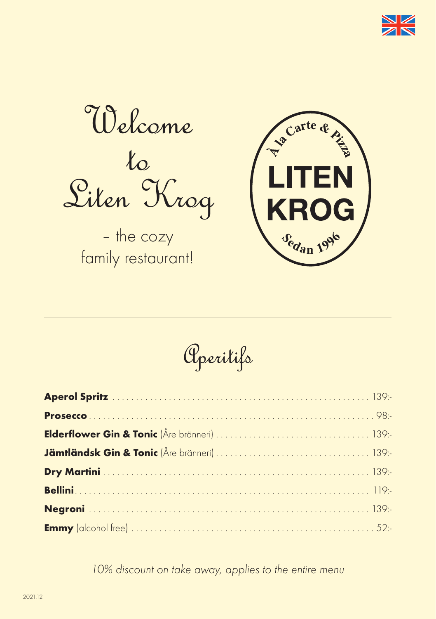

Welcome  $t_{\rm o}$ Liten Krog

– the cozy family restaurant!



Aperitifs

*10% discount on take away, applies to the entire menu*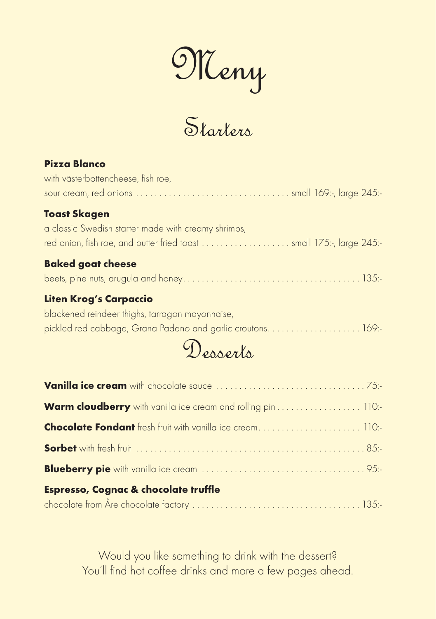Meny

Starters

#### **Pizza Blanco**

| <b>Baked goat cheese</b>                            |
|-----------------------------------------------------|
|                                                     |
| a classic Swedish starter made with creamy shrimps, |
| <b>Toast Skagen</b>                                 |
|                                                     |
| with västerbottencheese, fish roe,                  |

#### beets, pine nuts, arugula and honey . 135:-

#### **Liten Krog's Carpaccio**

blackened reindeer thighs, tarragon mayonnaise, pickled red cabbage, Grana Padano and garlic croutons. . . . . . . . . . . . . . . . . . 169:-



| Warm cloudberry with vanilla ice cream and rolling pin 110:- |  |
|--------------------------------------------------------------|--|
|                                                              |  |
|                                                              |  |
|                                                              |  |
| <b>Espresso, Cognac &amp; chocolate truffle</b>              |  |
|                                                              |  |

Would you like something to drink with the dessert? You'll find hot coffee drinks and more a few pages ahead.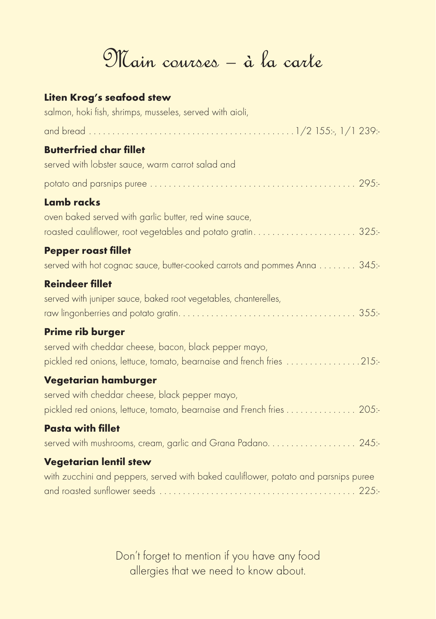## Main courses – à la carte

#### **Liten Krog's seafood stew** salmon, hoki fish, shrimps, musseles, served with aioli, and bread 1/2 155:-, 1/1 239:- **Butterfried char fillet** served with lobster sauce, warm carrot salad and potato and parsnips puree 295:- **Lamb racks** oven baked served with garlic butter, red wine sauce, roasted cauliflower, root vegetables and potato gratin 325:- **Pepper roast fillet** served with hot cognac sauce, butter-cooked carrots and pommes Anna . . . . . . . . 345:-**Reindeer fillet** served with juniper sauce, baked root vegetables, chanterelles, raw lingonberries and potato gratin 355:- **Prime rib burger** served with cheddar cheese, bacon, black pepper mayo, pickled red onions, lettuce, tomato, bearnaise and french fries .................215:-**Vegetarian hamburger** served with cheddar cheese, black pepper mayo, pickled red onions, lettuce, tomato, bearnaise and French fries . . . . . . . . . . . . . . 205:-**Pasta with fillet** served with mushrooms, cream, garlic and Grana Padano 245:- **Vegetarian lentil stew** with zucchini and peppers, served with baked cauliflower, potato and parsnips puree and roasted sunflower seeds 225:-

Don't forget to mention if you have any food allergies that we need to know about.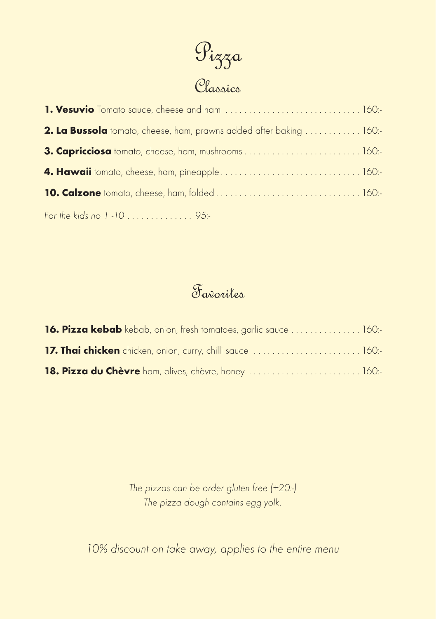

| <b>2. La Bussola</b> tomato, cheese, ham, prawns added after baking 160:- |  |
|---------------------------------------------------------------------------|--|
| 3. Capricciosa tomato, cheese, ham, mushrooms 160:-                       |  |
|                                                                           |  |
|                                                                           |  |
| For the kids no 1-10  95:-                                                |  |

#### Favorites

| 16. Pizza kebab kebab, onion, fresh tomatoes, garlic sauce  160:- |  |
|-------------------------------------------------------------------|--|
| 17. Thai chicken chicken, onion, curry, chilli sauce  160:        |  |
| 18. Pizza du Chèvre ham, olives, chèvre, honey  160:              |  |

*The pizzas can be order gluten free (+20:-) The pizza dough contains egg yolk.*

*10% discount on take away, applies to the entire menu*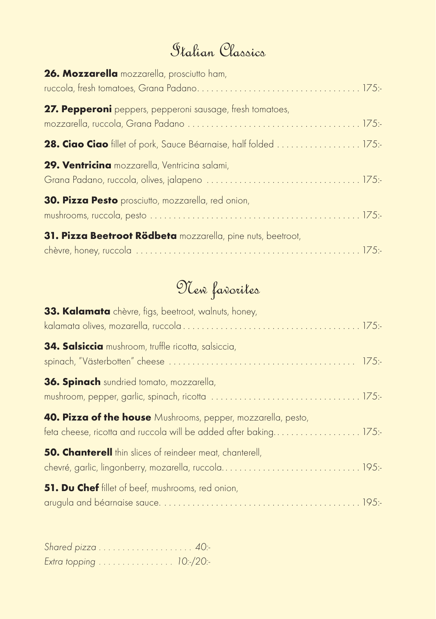#### Italian Classics

| 26. Mozzarella mozzarella, prosciutto ham,                  |  |
|-------------------------------------------------------------|--|
| 27. Pepperoni peppers, pepperoni sausage, fresh tomatoes,   |  |
|                                                             |  |
| 29. Ventricina mozzarella, Ventricina salami,               |  |
| 30. Pizza Pesto prosciutto, mozzarella, red onion,          |  |
| 31. Pizza Beetroot Rödbeta mozzarella, pine nuts, beetroot, |  |

## New favorites

| 33. Kalamata chèvre, figs, beetroot, walnuts, honey,                                                                             |  |
|----------------------------------------------------------------------------------------------------------------------------------|--|
| 34. Salsiccia mushroom, truffle ricotta, salsiccia,                                                                              |  |
| <b>36. Spinach</b> sundried tomato, mozzarella,                                                                                  |  |
| 40. Pizza of the house Mushrooms, pepper, mozzarella, pesto,<br>feta cheese, ricotta and ruccola will be added after baking 175: |  |
| <b>50. Chanterell</b> thin slices of reindeer meat, chanterell,                                                                  |  |
| <b>51. Du Chef</b> fillet of beef, mushrooms, red onion,                                                                         |  |

| Extra topping 10:-/20:- |  |  |  |  |  |  |  |  |  |  |  |  |
|-------------------------|--|--|--|--|--|--|--|--|--|--|--|--|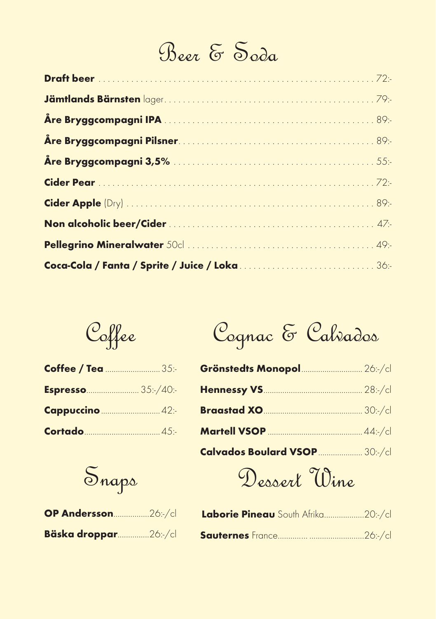# Beer & Soda

Coffee

| Coffee / Tea  35:-        |  |
|---------------------------|--|
| <b>Espresso</b> 35:-/40:- |  |
| Cappuccino  42:-          |  |
|                           |  |

Snaps

| OP Andersson26:-/cl  |  |
|----------------------|--|
| Bäska droppar26:-/cl |  |

|  |  | Cognac & Calvados |
|--|--|-------------------|
|--|--|-------------------|

| Grönstedts Monopol  26:-/cl    |  |
|--------------------------------|--|
|                                |  |
|                                |  |
|                                |  |
| Calvados Boulard VSOP  30:-/cl |  |

Dessert Wine

| Laborie Pineau South Afrika20:-/cl |  |
|------------------------------------|--|
|                                    |  |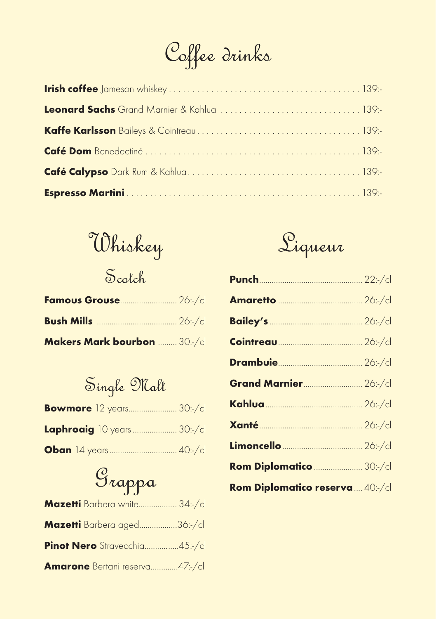Coffee drinks

Whiskey

Scotch

| Famous Grouse 26:-/cl        |  |
|------------------------------|--|
|                              |  |
| Makers Mark bourbon  30:-/cl |  |

Single Malt

| <b>Bowmore</b> 12 years 30:-/cl   |  |
|-----------------------------------|--|
| <b>Laphroaig</b> 10 years 30:-/cl |  |
|                                   |  |

# Grappa

| Mazetti Barbera white 34:/cl          |  |
|---------------------------------------|--|
| Mazetti Barbera aged36:-/cl           |  |
| Pinot Nero Stravecchia45:-/cl         |  |
| <b>Amarone</b> Bertani reserva47:-/cl |  |



| <b>Grand Marnier 26:-/cl</b>     |  |
|----------------------------------|--|
|                                  |  |
| <b>Xanté</b> 26:-/cl             |  |
|                                  |  |
| Rom Diplomatico  30:-/cl         |  |
| Rom Diplomatico reserva  40:-/cl |  |